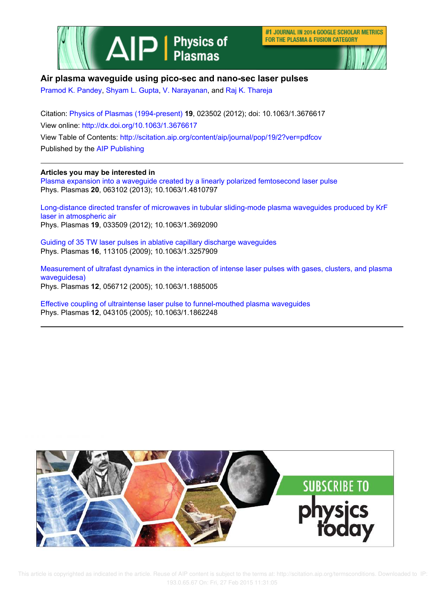

#1 JOURNAL IN 2014 GOOGLE SCHOLAR METRICS FOR THE PLASMA & FUSION CATEGORY



# **Air plasma waveguide using pico-sec and nano-sec laser pulses**

Pramod K. Pandey, Shyam L. Gupta, V. Narayanan, and Raj K. Thareja

Citation: Physics of Plasmas (1994-present) **19**, 023502 (2012); doi: 10.1063/1.3676617 View online: http://dx.doi.org/10.1063/1.3676617 View Table of Contents: http://scitation.aip.org/content/aip/journal/pop/19/2?ver=pdfcov Published by the AIP Publishing

## **Articles you may be interested in**

Plasma expansion into a waveguide created by a linearly polarized femtosecond laser pulse Phys. Plasmas **20**, 063102 (2013); 10.1063/1.4810797

Long-distance directed transfer of microwaves in tubular sliding-mode plasma waveguides produced by KrF laser in atmospheric air Phys. Plasmas **19**, 033509 (2012); 10.1063/1.3692090

Guiding of 35 TW laser pulses in ablative capillary discharge waveguides Phys. Plasmas **16**, 113105 (2009); 10.1063/1.3257909

Measurement of ultrafast dynamics in the interaction of intense laser pulses with gases, clusters, and plasma waveguidesa) Phys. Plasmas **12**, 056712 (2005); 10.1063/1.1885005

Effective coupling of ultraintense laser pulse to funnel-mouthed plasma waveguides Phys. Plasmas **12**, 043105 (2005); 10.1063/1.1862248



 This article is copyrighted as indicated in the article. Reuse of AIP content is subject to the terms at: http://scitation.aip.org/termsconditions. Downloaded to IP: 193.0.65.67 On: Fri, 27 Feb 2015 11:31:05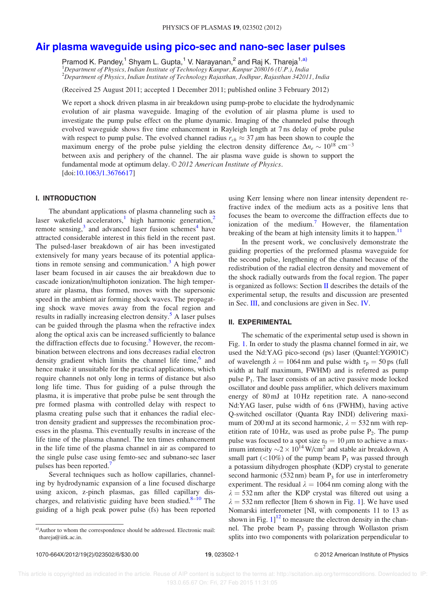# Air plasma waveguide using pico-sec and nano-sec laser pulses

Pramod K. Pandey,<sup>1</sup> Shyam L. Gupta,<sup>1</sup> V. Narayanan,<sup>2</sup> and Raj K. Thareja<sup>1,a)</sup>  $1$ Department of Physics, Indian Institute of Technology Kanpur, Kanpur 208016 (U.P.), India <sup>2</sup>Department of Physics, Indian Institute of Technology Rajasthan, Jodhpur, Rajasthan 342011, India

(Received 25 August 2011; accepted 1 December 2011; published online 3 February 2012)

We report a shock driven plasma in air breakdown using pump-probe to elucidate the hydrodynamic evolution of air plasma waveguide. Imaging of the evolution of air plasma plume is used to investigate the pump pulse effect on the plume dynamic. Imaging of the channeled pulse through evolved waveguide shows five time enhancement in Rayleigh length at 7 ns delay of probe pulse with respect to pump pulse. The evolved channel radius  $r_{ch} \approx 37 \,\mu m$  has been shown to couple the maximum energy of the probe pulse yielding the electron density difference  $\Delta n_e \sim 10^{18} \text{ cm}^{-3}$ between axis and periphery of the channel. The air plasma wave guide is shown to support the fundamental mode at optimum delay. © 2012 American Institute of Physics. [doi:10.1063/1.3676617]

#### I. INTRODUCTION

The abundant applications of plasma channeling such as laser wakefield accelerators,<sup>1</sup> high harmonic generation,<sup>2</sup> remote sensing,<sup>3</sup> and advanced laser fusion schemes<sup>4</sup> have attracted considerable interest in this field in the recent past. The pulsed-laser breakdown of air has been investigated extensively for many years because of its potential applications in remote sensing and communication.<sup>3</sup> A high power laser beam focused in air causes the air breakdown due to cascade ionization/multiphoton ionization. The high temperature air plasma, thus formed, moves with the supersonic speed in the ambient air forming shock waves. The propagating shock wave moves away from the focal region and results in radially increasing electron density.<sup>5</sup> A laser pulses can be guided through the plasma when the refractive index along the optical axis can be increased sufficiently to balance the diffraction effects due to focusing.<sup>5</sup> However, the recombination between electrons and ions decreases radial electron density gradient which limits the channel life time,<sup>6</sup> and hence make it unsuitable for the practical applications, which require channels not only long in terms of distance but also long life time. Thus for guiding of a pulse through the plasma, it is imperative that probe pulse be sent through the pre formed plasma with controlled delay with respect to plasma creating pulse such that it enhances the radial electron density gradient and suppresses the recombination processes in the plasma. This eventually results in increase of the life time of the plasma channel. The ten times enhancement in the life time of the plasma channel in air as compared to the single pulse case using femto-sec and subnano-sec laser pulses has been reported.<sup>7</sup>

Several techniques such as hollow capillaries, channeling by hydrodynamic expansion of a line focused discharge using axicon, z-pinch plasmas, gas filled capillary discharges, and relativistic guiding have been studied.<sup>8-10</sup> The guiding of a high peak power pulse (fs) has been reported using Kerr lensing where non linear intensity dependent refractive index of the medium acts as a positive lens that focuses the beam to overcome the diffraction effects due to ionization of the medium.<sup>7</sup> However, the filamentation breaking of the beam at high intensity limits it to happen. $11$ 

In the present work, we conclusively demonstrate the guiding properties of the preformed plasma waveguide for the second pulse, lengthening of the channel because of the redistribution of the radial electron density and movement of the shock radially outwards from the focal region. The paper is organized as follows: Section  $\Pi$  describes the details of the experimental setup, the results and discussion are presented in Sec. III, and conclusions are given in Sec. IV.

#### II. EXPERIMENTAL

The schematic of the experimental setup used is shown in Fig. 1. In order to study the plasma channel formed in air, we used the Nd:YAG pico-second (ps) laser (Quantel:YG901C) of wavelength  $\lambda = 1064$  nm and pulse width  $\tau_p = 50$  ps (full width at half maximum, FWHM) and is referred as pump pulse  $P_1$ . The laser consists of an active passive mode locked oscillator and double pass amplifier, which delivers maximum energy of 80 mJ at 10 Hz repetition rate. A nano-second Nd:YAG laser, pulse width of 6 ns (FWHM), having active Q-switched oscillator (Quanta Ray INDI) delivering maximum of 200 mJ at its second harmonic,  $\lambda = 532$  nm with repetition rate of 10 Hz, was used as probe pulse  $P_2$ . The pump pulse was focused to a spot size  $r_0 = 10 \mu m$  to achieve a maximum intensity  $\sim$  2  $\times 10^{14}$  W/cm<sup>2</sup> and stable air breakdown. A small part ( $\langle 10\%$ ) of the pump beam P<sub>1</sub> was passed through a potassium dihydrogen phosphate (KDP) crystal to generate second harmonic (532 nm) beam  $P_3$  for use in interferometry experiment. The residual  $\lambda = 1064$  nm coming along with the  $\lambda = 532$  nm after the KDP crystal was filtered out using a  $\lambda = 532$  nm reflector [Item 6 shown in Fig. 1]. We have used Nomarski interferometer [NI, with components 11 to 13 as shown in Fig.  $1$ ]<sup>12</sup> to measure the electron density in the channel. The probe beam  $P_3$  passing through Wollaston prism splits into two components with polarization perpendicular to

a)Author to whom the correspondence should be addressed. Electronic mail: thareja@iitk.ac.in.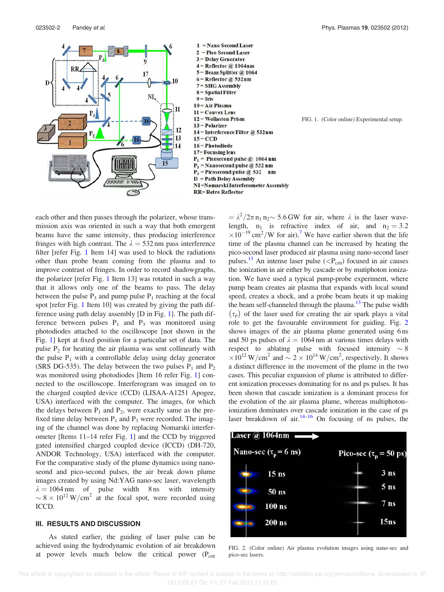$\mathbf{D}$ 



- $8 =$  Spatial Filter
- $9 =$ Iris

NI.

mm

15

 $10 = Air Plasma$ 

 $11 = Convex Lens$ 

- 
- 12 = Wollaston Prism
- $13 = Polarizer$
- 14 = Interference Filter @ 532nm
- $15 = CCD$
- 16 = Photodiode
- 17 = Focusing lens
- $P_1$  = Picosecond pulse @ 1064 nm  $P_{2}$ = Nanosecond pulse @ 532 nm  $P_3$  = Picosecond pulse @ 532 nm  $D = Path Delay Assembly$ NI =Nomarski Interferometer Assembly **RR=Retro Reflector**

FIG. 1. (Color online) Experimental setup.

each other and then passes through the polarizer, whose transmission axis was oriented in such a way that both emergent beams have the same intensity, thus producing interference fringes with high contrast. The  $\lambda = 532$  nm pass interference filter [refer Fig. 1 Item 14] was used to block the radiations other than probe beam coming from the plasma and to improve contrast of fringes. In order to record shadowgraphs, the polarizer [refer Fig. 1 Item 13] was rotated in such a way that it allows only one of the beams to pass. The delay between the pulse  $P_3$  and pump pulse  $P_1$  reaching at the focal spot [refer Fig. 1 Item 10] was created by giving the path difference using path delay assembly [D in Fig. 1]. The path difference between pulses  $P_1$  and  $P_3$  was monitored using photodiodes attached to the oscilloscope [not shown in the Fig. 1] kept at fixed position for a particular set of data. The pulse  $P_2$  for heating the air plasma was sent collinearly with the pulse  $P_1$  with a controllable delay using delay generator (SRS DG-535). The delay between the two pulses  $P_1$  and  $P_2$ was monitored using photodiodes [Item 16 refer Fig. 1] connected to the oscilloscope. Interferogram was imaged on to the charged coupled device (CCD) (LISAA-A1251 Apogee, USA) interfaced with the computer. The images, for which the delays between  $P_1$  and  $P_2$ , were exactly same as the prefixed time delay between  $P_1$  and  $P_3$  were recorded. The imaging of the channel was done by replacing Nomarski interferometer [Items 11–14 refer Fig. 1] and the CCD by triggered gated intensified charged coupled device (ICCD) (DH-720, ANDOR Technology, USA) interfaced with the computer. For the comparative study of the plume dynamics using nanoseond and pico-second pulses, the air break down plume images created by using Nd:YAG nano-sec laser, wavelength  $\lambda = 1064$  nm of pulse width 8 ns with intensity  $\sim 8 \times 10^{12}$  W/cm<sup>2</sup> at the focal spot, were recorded using ICCD.

# III. RESULTS AND DISCUSSION

As stated earlier, the guiding of laser pulse can be achieved using the hydrodynamic evolution of air breakdown at power levels much below the critical power  $(P_{crit})$ 

 $= \lambda^2/2\pi n_1 n_2 \sim 5.6$  GW for air, where  $\lambda$  is the laser wavelength,  $n_1$  is refractive index of air, and  $n_2 = 3.2$  $\times 10^{-19}$  cm<sup>2</sup>/W for air).<sup>7</sup> We have earlier shown that the life time of the plasma channel can be increased by heating the pico-second laser produced air plasma using nano-second laser pulses.<sup>13</sup> An intense laser pulse ( $\langle P_{\rm crit} \rangle$ ) focused in air causes the ionization in air either by cascade or by mutiphoton ionization. We have used a typical pump-probe experiment, where pump beam creates air plasma that expands with local sound speed, creates a shock, and a probe beam heats it up making the beam self-channeled through the plasma. $13$  The pulse width  $(\tau_p)$  of the laser used for creating the air spark plays a vital role to get the favourable environment for guiding. Fig. 2 shows images of the air plasma plume generated using 6 ns and 50 ps pulses of  $\lambda = 1064$  nm at various times delays with respect to ablating pulse with focused intensity  $\sim 8$  $\times 10^{12}$  W/cm<sup>2</sup> and  $\sim 2 \times 10^{14}$  W/cm<sup>2</sup>, respectively. It shows a distinct difference in the movement of the plume in the two cases. This peculiar expansion of plume is attributed to different ionization processes dominating for ns and ps pulses. It has been shown that cascade ionization is a dominant process for the evolution of the air plasma plume, whereas multiphoton– ionization dominates over cascade ionization in the case of ps laser breakdown of air. $14-16$  On focusing of ns pulses, the



FIG. 2. (Color online) Air plasma evolution images using nano-sec and pico-sec lasers.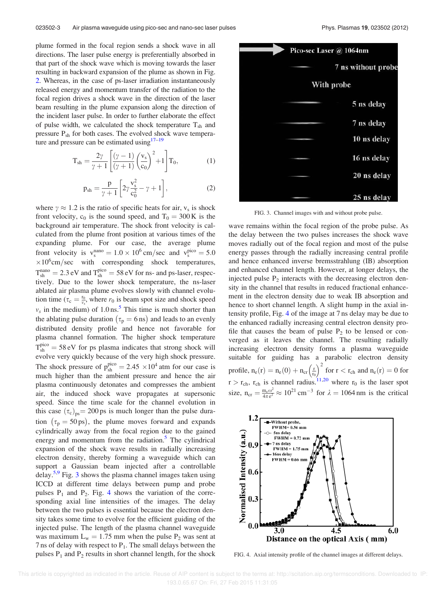plume formed in the focal region sends a shock wave in all directions. The laser pulse energy is preferentially absorbed in that part of the shock wave which is moving towards the laser resulting in backward expansion of the plume as shown in Fig. 2. Whereas, in the case of ps-laser irradiation instantaneously released energy and momentum transfer of the radiation to the focal region drives a shock wave in the direction of the laser beam resulting in the plume expansion along the direction of the incident laser pulse. In order to further elaborate the effect of pulse width, we calculated the shock temperature  $T_{sh}$  and pressure  $P_{sh}$  for both cases. The evolved shock wave temperature and pressure can be estimated using $17-19$ 

$$
T_{sh} = \frac{2\gamma}{\gamma + 1} \left[ \frac{(\gamma - 1)}{(\gamma + 1)} \left( \frac{v_s}{c_0} \right)^2 + 1 \right] T_0, \tag{1}
$$

$$
p_{sh} = \frac{p}{\gamma + 1} \left[ 2\gamma \frac{v_s^2}{c_0^2} - \gamma + 1 \right],
$$
 (2)

where  $\gamma \approx 1.2$  is the ratio of specific heats for air,  $v_s$  is shock front velocity,  $c_0$  is the sound speed, and  $T_0 = 300 \text{ K}$  is the background air temperature. The shock front velocity is calculated from the plume front position at various times of the expanding plume. For our case, the average plume front velocity is  $v_s^{nano} = 1.0 \times 10^6 \text{ cm/sec}$  and  $v_s^{pico} = 5.0$  $\times 10^6$ cm/sec with corresponding shock temperatures,  $T_{\rm sh}^{\rm nano} = 2.3 \, \rm eV$  and  $T_{\rm sh}^{\rm pico} = 58 \, \rm eV$  for ns- and ps-laser, respectively. Due to the lower shock temperature, the ns-laser ablated air plasma plume evolves slowly with channel evolution time ( $\tau_c = \frac{r_0}{v_s}$ , where  $r_0$  is beam spot size and shock speed  $v_s$  in the medium) of 1.0 ns.<sup>5</sup> This time is much shorter than the ablating pulse duration  $(\tau_p = 6 \,\text{ns})$  and leads to an evenly distributed density profile and hence not favorable for plasma channel formation. The higher shock temperature  $T_{\rm sh}^{\rm pico} = 58 \, \text{eV}$  for ps plasma indicates that strong shock will evolve very quickly because of the very high shock pressure. The shock pressure of  $p_{sh}^{pico} = 2.45 \times 10^4$  atm for our case is much higher than the ambient pressure and hence the air plasma continuously detonates and compresses the ambient air, the induced shock wave propagates at supersonic speed. Since the time scale for the channel evolution in this case  $(\tau_c)_{\text{ns}} = 200 \text{ ps}$  is much longer than the pulse duration  $(\tau_p = 50 \text{ ps})$ , the plume moves forward and expands cylindrically away from the focal region due to the gained energy and momentum from the radiation.<sup>5</sup> The cylindrical expansion of the shock wave results in radially increasing electron density, thereby forming a waveguide which can support a Gaussian beam injected after a controllable delay.<sup>5,9</sup> Fig. 3 shows the plasma channel images taken using ICCD at different time delays between pump and probe pulses  $P_1$  and  $P_2$ . Fig. 4 shows the variation of the corresponding axial line intensities of the images. The delay between the two pulses is essential because the electron density takes some time to evolve for the efficient guiding of the injected pulse. The length of the plasma channel waveguide was maximum  $L_w = 1.75$  mm when the pulse P<sub>2</sub> was sent at 7 ns of delay with respect to  $P_1$ . The small delays between the pulses  $P_1$  and  $P_2$  results in short channel length, for the shock



FIG. 3. Channel images with and without probe pulse.

wave remains within the focal region of the probe pulse. As the delay between the two pulses increases the shock wave moves radially out of the focal region and most of the pulse energy passes through the radially increasing central profile and hence enhanced inverse bremsstrahlung (IB) absorption and enhanced channel length. However, at longer delays, the injected pulse  $P_2$  interacts with the decreasing electron density in the channel that results in reduced fractional enhancement in the electron density due to weak IB absorption and hence to short channel length. A slight hump in the axial intensity profile, Fig. 4 of the image at 7 ns delay may be due to the enhanced radially increasing central electron density profile that causes the beam of pulse  $P_2$  to be lensed or converged as it leaves the channel. The resulting radially increasing electron density forms a plasma waveguide suitable for guiding has a parabolic electron density profile,  $n_e(r) = n_e(0) + n_{cr} \left(\frac{r}{r_0}\right)^2$  for  $r < r_{ch}$  and  $n_e(r) = 0$  for  $r > r_{ch}$ ,  $r_{ch}$  is channel radius.<sup>11,20</sup> where  $r_0$  is the laser spot size,  $n_{cr} = \frac{m_e \omega^2}{4 \pi e^2}$  $\frac{m_e \omega^2}{4\pi e^2} \approx 10^{21}$  cm<sup>-3</sup> for  $\lambda = 1064$  nm is the critical



FIG. 4. Axial intensity profile of the channel images at different delays.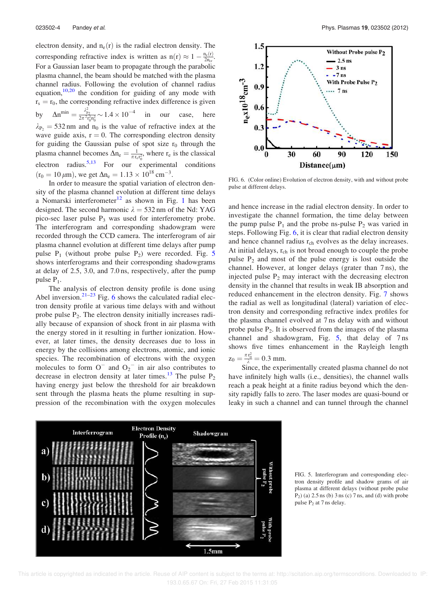electron density, and  $n_e(r)$  is the radial electron density. The corresponding refractive index is written as  $n(r) \approx 1 - \frac{n_e(r)}{2n_e}$  $\frac{a_e(r)}{2n_{cr}}$ . For a Gaussian laser beam to propagate through the parabolic plasma channel, the beam should be matched with the plasma channel radius. Following the evolution of channel radius equation, $10,20$  the condition for guiding of any mode with  $r_s = r_0$ , the corresponding refractive index difference is given by  $\Delta n^{\min} = \frac{\lambda_{p_2}^2}{2\pi^2 r_0^2 n_0^2} \sim 1.4 \times 10^{-4}$ our case, here  $\lambda_{\text{P}_2}$  = 532 nm and n<sub>0</sub> is the value of refractive index at the wave guide axis,  $r = 0$ . The corresponding electron density for guiding the Gaussian pulse of spot size  $r_0$  through the plasma channel becomes  $\Delta n_e = \frac{1}{\pi r_e r_0^2}$ , where  $r_e$  is the classical electron radius.<sup>5,13</sup> For our experimental conditions  $(r_0 = 10 \,\mu\text{m})$ , we get  $\Delta n_e = 1.13 \times 10^{18} \text{ cm}^{-3}$ .

In order to measure the spatial variation of electron density of the plasma channel evolution at different time delays a Nomarski interferometer<sup>12</sup> as shown in Fig. 1 has been designed. The second harmonic  $\lambda = 532$  nm of the Nd: YAG pico-sec laser pulse  $P_3$  was used for interferometry probe. The interferogram and corresponding shadowgram were recorded through the CCD camera. The interferogram of air plasma channel evolution at different time delays after pump pulse  $P_1$  (without probe pulse  $P_2$ ) were recorded. Fig. 5 shows interferograms and their corresponding shadowgrams at delay of 2.5, 3.0, and 7.0 ns, respectively, after the pump pulse  $P_1$ .

The analysis of electron density profile is done using Abel inversion. $2^{1-23}$  Fig. 6 shows the calculated radial electron density profile at various time delays with and without probe pulse  $P_2$ . The electron density initially increases radially because of expansion of shock front in air plasma with the energy stored in it resulting in further ionization. However, at later times, the density decreases due to loss in energy by the collisions among electrons, atomic, and ionic species. The recombination of electrons with the oxygen molecules to form  $O^-$  and  $O_2^-$  in air also contributes to decrease in electron density at later times.<sup>13</sup> The pulse  $P_2$ having energy just below the threshold for air breakdown sent through the plasma heats the plume resulting in suppression of the recombination with the oxygen molecules



FIG. 6. (Color online) Evolution of electron density, with and without probe pulse at different delays.

and hence increase in the radial electron density. In order to investigate the channel formation, the time delay between the pump pulse  $P_1$  and the probe ns-pulse  $P_2$  was varied in steps. Following Fig. 6, it is clear that radial electron density and hence channel radius r<sub>ch</sub> evolves as the delay increases. At initial delays,  $r_{ch}$  is not broad enough to couple the probe pulse  $P_2$  and most of the pulse energy is lost outside the channel. However, at longer delays (grater than 7 ns), the injected pulse  $P_2$  may interact with the decreasing electron density in the channel that results in weak IB absorption and reduced enhancement in the electron density. Fig. 7 shows the radial as well as longitudinal (lateral) variation of electron density and corresponding refractive index profiles for the plasma channel evolved at 7 ns delay with and without probe pulse  $P_2$ . It is observed from the images of the plasma channel and shadowgram, Fig. 5, that delay of 7 ns shows five times enhancement in the Rayleigh length  $z_0 = \frac{\pi r_0^2}{\lambda} = 0.3$  mm.

Since, the experimentally created plasma channel do not have infinitely high walls (i.e., densities), the channel walls reach a peak height at a finite radius beyond which the density rapidly falls to zero. The laser modes are quasi-bound or leaky in such a channel and can tunnel through the channel



FIG. 5. Interferogram and corresponding electron density profile and shadow grams of air plasma at different delays (without probe pulse  $P<sub>2</sub>$ ) (a) 2.5 ns (b) 3 ns (c) 7 ns, and (d) with probe pulse  $P_2$  at 7 ns delay.

 This article is copyrighted as indicated in the article. Reuse of AIP content is subject to the terms at: http://scitation.aip.org/termsconditions. Downloaded to IP: 193.0.65.67 On: Fri, 27 Feb 2015 11:31:05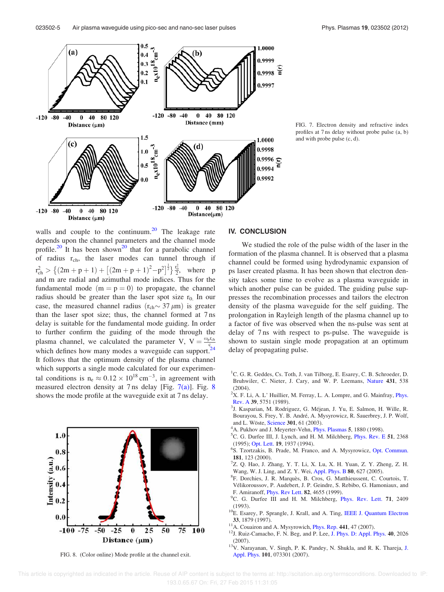

FIG. 7. Electron density and refractive index profiles at 7 ns delay without probe pulse (a, b) and with probe pulse (c, d).

walls and couple to the continuum. $20$  The leakage rate depends upon the channel parameters and the channel mode profile.<sup>20</sup> It has been shown<sup>20</sup> that for a parabolic channel of radius  $r_{ch}$ , the laser modes can tunnel through if  $r_{ch}^2 > \{(2m+p+1)+[(2m+p+1)^2-p^2]^{\frac{1}{2}}\}\frac{r_0^2}{2}$ , where p and m are radial and azimuthal mode indices. Thus for the fundamental mode  $(m = p = 0)$  to propagate, the channel radius should be greater than the laser spot size  $r_0$ . In our case, the measured channel radius  $(r_{ch} \sim 37 \,\mu m)$  is greater than the laser spot size; thus, the channel formed at 7 ns delay is suitable for the fundamental mode guiding. In order to further confirm the guiding of the mode through the plasma channel, we calculated the parameter V,  $V = \frac{\omega_p r_{ch}}{c}$ plasma channel, we calculated the parameter  $v, v = c$ <br>which defines how many modes a waveguide can support.<sup>24</sup> It follows that the optimum density of the plasma channel which supports a single mode calculated for our experimental conditions is  $n_e \approx 0.12 \times 10^{18} \text{ cm}^{-3}$ , in agreement with measured electron density at 7 ns delay [Fig. 7(a)]. Fig. 8 shows the mode profile at the waveguide exit at 7 ns delay.



FIG. 8. (Color online) Mode profile at the channel exit.

### IV. CONCLUSION

We studied the role of the pulse width of the laser in the formation of the plasma channel. It is observed that a plasma channel could be formed using hydrodynamic expansion of ps laser created plasma. It has been shown that electron density takes some time to evolve as a plasma waveguide in which another pulse can be guided. The guiding pulse suppresses the recombination processes and tailors the electron density of the plasma waveguide for the self guiding. The prolongation in Rayleigh length of the plasma channel up to a factor of five was observed when the ns-pulse was sent at delay of 7 ns with respect to ps-pulse. The waveguide is shown to sustain single mode propagation at an optimum delay of propagating pulse.

- <sup>1</sup>C. G. R. Geddes, Cs. Toth, J. van Tilborg, E. Esarey, C. B. Schroeder, D. Bruhwiler, C. Nieter, J. Cary, and W. P. Leemans, Nature 431, 538 (2004).
- $2X$ . F. Li, A. L' Huillier, M. Ferray, L. A. Lompre, and G. Mainfray, *Phys.* Rev. A 39, 5751 (1989).
- <sup>3</sup>J. Kasparian, M. Rodriguez, G. Méjean, J. Yu, E. Salmon, H. Wille, R. Bourayou, S. Frey, Y. B. André, A. Mysyrowicz, R. Sauerbrey, J. P. Wolf, and L. Wöste, Science 301, 61 (2003).
- <sup>1</sup>A. Pukhov and J. Meyerter-Vehn, *Phys. Plasmas* 5, 1880 (1998).
- ${}^5C$ . G. Durfee III, J. Lynch, and H. M. Milchberg, *Phys. Rev. E* 51, 2368 (1995); Opt. Lett. 19, 1937 (1994).
- 6 S. Tzortzakis, B. Prade, M. Franco, and A. Mysyrowicz, Opt. Commun. 181, 123 (2000).
- 7 Z. Q. Hao, J. Zhang, Y. T. Li, X. Lu, X. H. Yuan, Z. Y. Zheng, Z. H. Wang, W. J. Ling, and Z. Y. Wei, Appl. Phys. B 80, 627 (2005).
- <sup>8</sup>F. Dorchies, J. R. Marquès, B. Cros, G. Matthieussent, C. Courtois, T. Vélikoroussov, P. Audebert, J. P. Geindre, S. Rebibo, G. Hamoniaux, and F. Amiranoff, Phys. Rev Lett. 82, 4655 (1999).
- <sup>9</sup>C. G. Durfee III and H. M. Milchberg, *Phys. Rev. Lett.* **71**, 2409 (1993).
- <sup>10</sup>E. Esarey, P. Sprangle, J. Krall, and A. Ting, IEEE J. Quantum Electron 33, 1879 (1997).
- <sup>11</sup>A. Couairon and A. Mysyrowich, *Phys. Rep.* 441, 47 (2007).
- <sup>12</sup>J. Ruiz-Camacho, F. N. Beg, and P. Lee, J. Phys. D: Appl. Phys. 40, 2026 (2007).
- <sup>13</sup>V. Narayanan, V. Singh, P. K. Pandey, N. Shukla, and R. K. Thareja, J. Appl. Phys. 101, 073301 (2007).

 This article is copyrighted as indicated in the article. Reuse of AIP content is subject to the terms at: http://scitation.aip.org/termsconditions. Downloaded to IP: 193.0.65.67 On: Fri, 27 Feb 2015 11:31:05